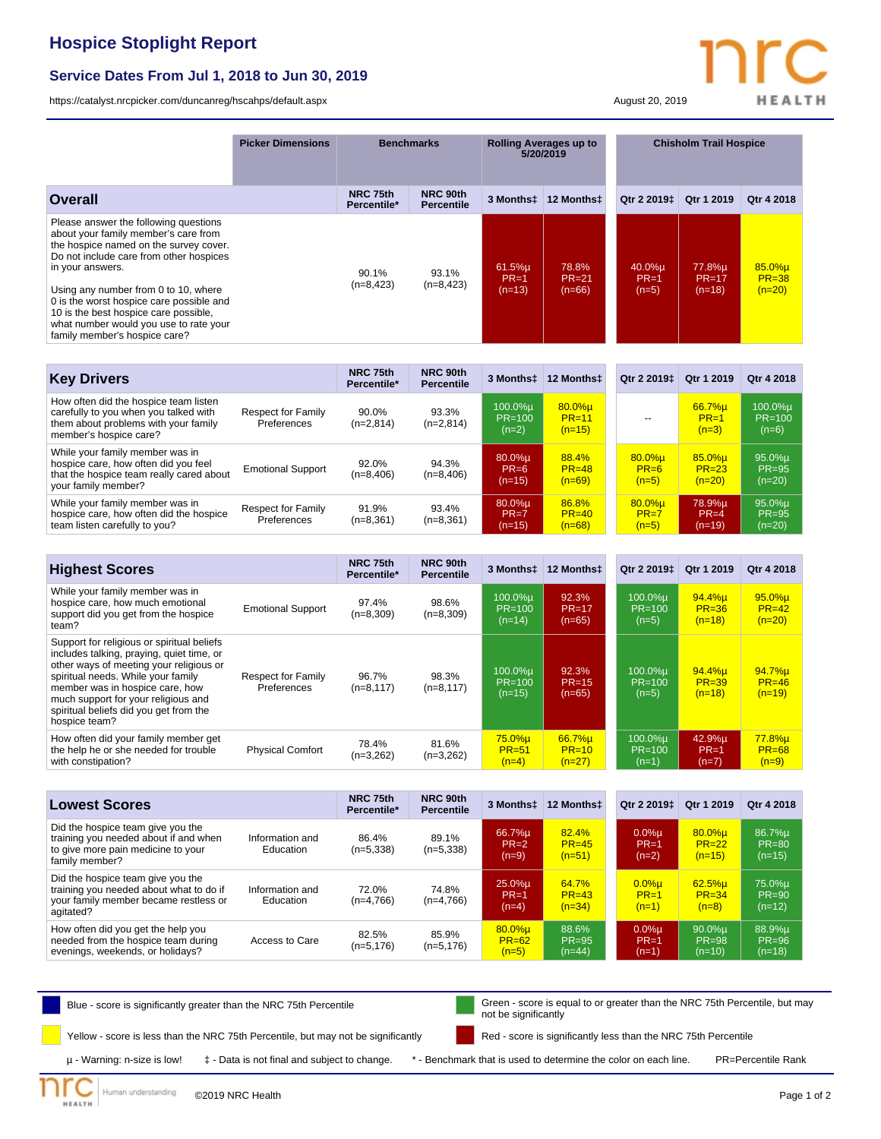## **Hospice Stoplight Report**

## **Service Dates From Jul 1, 2018 to Jun 30, 2019**

<https://catalyst.nrcpicker.com/duncanreg/hscahps/default.aspx> August 20, 2019

**HEALTH** 

|                                                                                                                                                                                                                                                                                                                                                                                                | <b>Picker Dimensions</b> | <b>Benchmarks</b>       |                               | <b>Rolling Averages up to</b><br>5/20/2019 |                                | <b>Chisholm Trail Hospice</b>   |                               |                                 |
|------------------------------------------------------------------------------------------------------------------------------------------------------------------------------------------------------------------------------------------------------------------------------------------------------------------------------------------------------------------------------------------------|--------------------------|-------------------------|-------------------------------|--------------------------------------------|--------------------------------|---------------------------------|-------------------------------|---------------------------------|
| Overall                                                                                                                                                                                                                                                                                                                                                                                        |                          | NRC 75th<br>Percentile* | NRC 90th<br><b>Percentile</b> | 3 Monthst                                  | 12 Monthst                     | Qtr 2 2019 <sup>±</sup>         | Qtr 1 2019                    | Qtr 4 2018                      |
| Please answer the following questions<br>about your family member's care from<br>the hospice named on the survey cover.<br>Do not include care from other hospices<br>in your answers.<br>Using any number from 0 to 10, where<br>0 is the worst hospice care possible and<br>10 is the best hospice care possible,<br>what number would you use to rate your<br>family member's hospice care? |                          | 90.1%<br>$(n=8, 423)$   | 93.1%<br>$(n=8, 423)$         | $61.5%$ µ<br>$PR=1$<br>$(n=13)$            | 78.8%<br>$PR = 21$<br>$(n=66)$ | $40.0\%$ µ<br>$PR=1$<br>$(n=5)$ | 77.8%µ<br>$PR=17$<br>$(n=18)$ | 85.0%µ<br>$PR = 38$<br>$(n=20)$ |

| <b>Key Drivers</b>                                                                                                                               |                                          | NRC 75th<br>Percentile* | NRC 90th<br><b>Percentile</b> | 3 Monthst                          | 12 Monthst                          | Qtr 2 2019 <sup>t</sup>          | Qtr 1 2019                      | Otr 4 2018                          |
|--------------------------------------------------------------------------------------------------------------------------------------------------|------------------------------------------|-------------------------|-------------------------------|------------------------------------|-------------------------------------|----------------------------------|---------------------------------|-------------------------------------|
| How often did the hospice team listen<br>carefully to you when you talked with<br>them about problems with your family<br>member's hospice care? | <b>Respect for Family</b><br>Preferences | 90.0%<br>$(n=2,814)$    | 93.3%<br>$(n=2,814)$          | 100.0%µ<br>PR=100<br>$(n=2)$       | $80.0\%$ µ<br>$PR = 11$<br>$(n=15)$ |                                  | 66.7%u<br>$PR=1$<br>$(n=3)$     | $100.0\%$ µ<br>PR=100<br>$(n=6)$    |
| While your family member was in<br>hospice care, how often did you feel<br>that the hospice team really cared about<br>your family member?       | <b>Emotional Support</b>                 | 92.0%<br>$(n=8,406)$    | 94.3%<br>$(n=8,406)$          | $80.0\%$ µ<br>$PR=6$<br>$(n=15)$   | 88.4%<br>$PR = 48$<br>$(n=69)$      | $80.0%$ u<br>$PR=6$<br>$(n=5)$   | 85.0%u<br>$PR = 23$<br>$(n=20)$ | $95.0\%$ µ<br>$PR = 95$<br>$(n=20)$ |
| While your family member was in<br>hospice care, how often did the hospice<br>team listen carefully to you?                                      | <b>Respect for Family</b><br>Preferences | 91.9%<br>$(n=8,361)$    | 93.4%<br>$(n=8,361)$          | $80.0\%$ µ<br>$PR = 7$<br>$(n=15)$ | 86.8%<br>$PR = 40$<br>$(n=68)$      | $80.0%$ µ<br>$PR = 7$<br>$(n=5)$ | 78.9%µ<br>$PR=4$<br>$(n=19)$    | $95.0\%$ µ<br>$PR = 95$<br>$(n=20)$ |

| <b>Highest Scores</b>                                                                                                                                                                                                                                                                                         |                                          | NRC 75th<br>Percentile* | NRC 90th<br><b>Percentile</b> | 3 Monthst                       | 12 Monthst                     | Qtr 2 2019 <sup>t</sup>          | Qtr 1 2019                      | Otr 4 2018                        |
|---------------------------------------------------------------------------------------------------------------------------------------------------------------------------------------------------------------------------------------------------------------------------------------------------------------|------------------------------------------|-------------------------|-------------------------------|---------------------------------|--------------------------------|----------------------------------|---------------------------------|-----------------------------------|
| While your family member was in<br>hospice care, how much emotional<br>support did you get from the hospice<br>team?                                                                                                                                                                                          | <b>Emotional Support</b>                 | 97.4%<br>$(n=8,309)$    | 98.6%<br>$(n=8,309)$          | 100.0%µ<br>$PR=100$<br>$(n=14)$ | 92.3%<br>$PR=17$<br>$(n=65)$   | 100.0%u<br>$PR = 100$<br>$(n=5)$ | 94.4%u<br>$PR = 36$<br>$(n=18)$ | $95.0%$ µ<br>$PR=42$<br>$(n=20)$  |
| Support for religious or spiritual beliefs<br>includes talking, praying, quiet time, or<br>other ways of meeting your religious or<br>spiritual needs. While your family<br>member was in hospice care, how<br>much support for your religious and<br>spiritual beliefs did you get from the<br>hospice team? | <b>Respect for Family</b><br>Preferences | 96.7%<br>$(n=8, 117)$   | 98.3%<br>$(n=8, 117)$         | 100.0%µ<br>$PR=100$<br>$(n=15)$ | 92.3%<br>$PR = 15$<br>$(n=65)$ | 100.0%µ<br>$PR = 100$<br>$(n=5)$ | 94.4%µ<br>$PR = 39$<br>$(n=18)$ | 94.7%µ<br>$PR = 46$<br>$(n=19)$   |
| How often did your family member get<br>the help he or she needed for trouble<br>with constipation?                                                                                                                                                                                                           | <b>Physical Comfort</b>                  | 78.4%<br>$(n=3,262)$    | 81.6%<br>$(n=3,262)$          | 75.0%µ<br>$PR = 51$<br>$(n=4)$  | 66.7%u<br>$PR=10$<br>$(n=27)$  | 100.0%u<br>$PR = 100$<br>$(n=1)$ | 42.9%u<br>$PR=1$<br>$(n=7)$     | $77.8%$ µ<br>$PR = 68$<br>$(n=9)$ |

| <b>Lowest Scores</b>                                                                                                               |                              | NRC 75th<br>Percentile* | NRC 90th<br><b>Percentile</b> | 3 Monthst                         | 12 Monthst                     | Otr 2 2019 <sup>±</sup>         | Qtr 1 2019                          | Otr 4 2018                      |
|------------------------------------------------------------------------------------------------------------------------------------|------------------------------|-------------------------|-------------------------------|-----------------------------------|--------------------------------|---------------------------------|-------------------------------------|---------------------------------|
| Did the hospice team give you the<br>training you needed about if and when<br>to give more pain medicine to your<br>family member? | Information and<br>Education | 86.4%<br>$(n=5,338)$    | 89.1%<br>$(n=5,338)$          | 66.7%µ<br>$PR = 2$<br>$(n=9)$     | 82.4%<br>$PR = 45$<br>$(n=51)$ | $0.0%$ u<br>$PR=1$<br>$(n=2)$   | $80.0\%$ µ<br>$PR = 22$<br>$(n=15)$ | 86.7%µ<br>$PR = 80$<br>$(n=15)$ |
| Did the hospice team give you the<br>training you needed about what to do if<br>your family member became restless or<br>agitated? | Information and<br>Education | 72.0%<br>$(n=4,766)$    | 74.8%<br>$(n=4,766)$          | 25.0%µ<br>$PR=1$<br>$(n=4)$       | 64.7%<br>$PR = 43$<br>$(n=34)$ | $0.0%$ u<br>$PR = 1$<br>$(n=1)$ | $62.5%$ µ<br>$PR = 34$<br>$(n=8)$   | 75.0%µ<br>$PR = 90$<br>$(n=12)$ |
| How often did you get the help you<br>needed from the hospice team during<br>evenings, weekends, or holidays?                      | Access to Care               | 82.5%<br>$(n=5, 176)$   | 85.9%<br>$(n=5, 176)$         | $80.0%$ µ<br>$PR = 62$<br>$(n=5)$ | 88.6%<br>$PR = 95$<br>$(n=44)$ | $0.0%$ u<br>$PR=1$<br>$(n=1)$   | $90.0\%$ µ<br>$PR = 98$<br>$(n=10)$ | 88.9%µ<br>$PR = 96$<br>$(n=18)$ |

Blue - score is significantly greater than the NRC 75th Percentile Green - score is equal to or greater than the NRC 75th Percentile, but may not be significantly

Yellow - score is less than the NRC 75th Percentile, but may not be significantly

Red - score is significantly less than the NRC 75th Percentile

**HEALTH** 

µ - Warning: n-size is low! ‡ - Data is not final and subject to change. \* - Benchmark that is used to determine the color on each line. PR=Percentile Rank